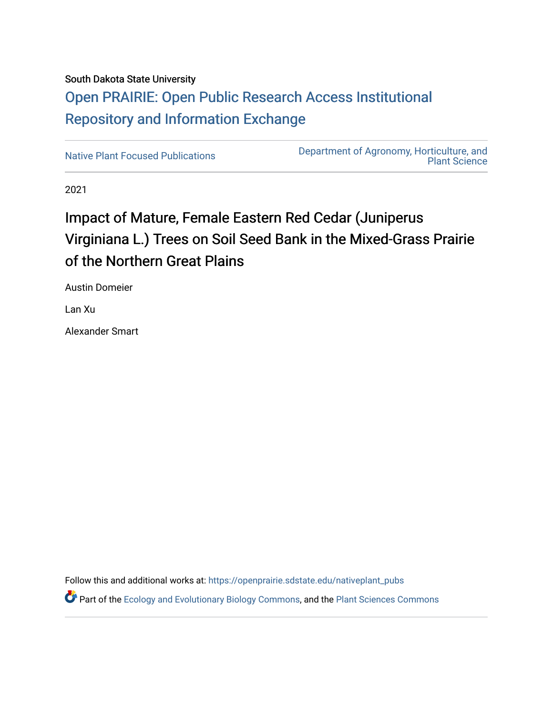## South Dakota State University [Open PRAIRIE: Open Public Research Access Institutional](https://openprairie.sdstate.edu/)  [Repository and Information Exchange](https://openprairie.sdstate.edu/)

[Native Plant Focused Publications](https://openprairie.sdstate.edu/nativeplant_pubs) [Department of Agronomy, Horticulture, and](https://openprairie.sdstate.edu/plant)  [Plant Science](https://openprairie.sdstate.edu/plant) 

2021

## Impact of Mature, Female Eastern Red Cedar (Juniperus Virginiana L.) Trees on Soil Seed Bank in the Mixed-Grass Prairie of the Northern Great Plains

Austin Domeier

Lan Xu

Alexander Smart

Follow this and additional works at: [https://openprairie.sdstate.edu/nativeplant\\_pubs](https://openprairie.sdstate.edu/nativeplant_pubs?utm_source=openprairie.sdstate.edu%2Fnativeplant_pubs%2F30&utm_medium=PDF&utm_campaign=PDFCoverPages) 

Part of the [Ecology and Evolutionary Biology Commons](http://network.bepress.com/hgg/discipline/14?utm_source=openprairie.sdstate.edu%2Fnativeplant_pubs%2F30&utm_medium=PDF&utm_campaign=PDFCoverPages), and the [Plant Sciences Commons](http://network.bepress.com/hgg/discipline/102?utm_source=openprairie.sdstate.edu%2Fnativeplant_pubs%2F30&utm_medium=PDF&utm_campaign=PDFCoverPages)